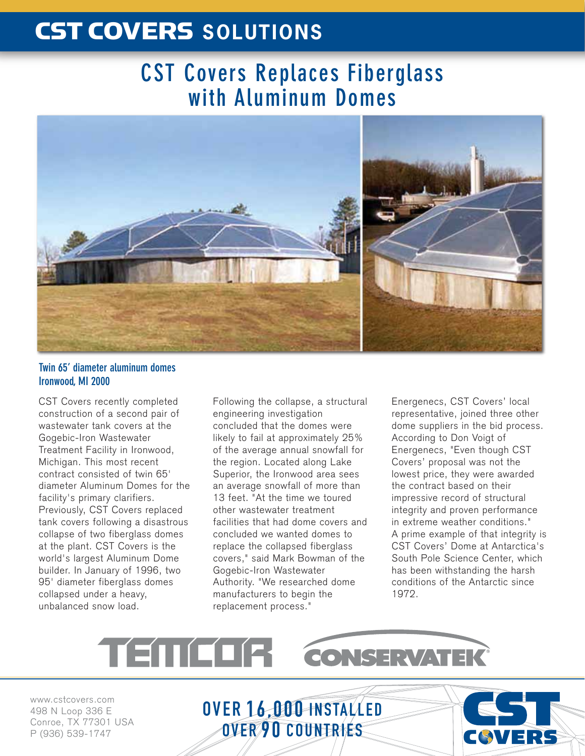# CST COVERS **SOLUTIONS**

## **CST Covers Replaces Fiberglass with Aluminum Domes**



### **Twin 65' diameter aluminum domes Ironwood, MI 2000**

CST Covers recently completed construction of a second pair of wastewater tank covers at the Gogebic-Iron Wastewater Treatment Facility in Ironwood, Michigan. This most recent contract consisted of twin 65' diameter Aluminum Domes for the facility's primary clarifiers. Previously, CST Covers replaced tank covers following a disastrous collapse of two fiberglass domes at the plant. CST Covers is the world's largest Aluminum Dome builder. In January of 1996, two 95' diameter fiberglass domes collapsed under a heavy, unbalanced snow load.

Following the collapse, a structural engineering investigation concluded that the domes were likely to fail at approximately 25% of the average annual snowfall for the region. Located along Lake Superior, the Ironwood area sees an average snowfall of more than 13 feet. "At the time we toured other wastewater treatment facilities that had dome covers and concluded we wanted domes to replace the collapsed fiberglass covers," said Mark Bowman of the Gogebic-Iron Wastewater Authority. "We researched dome manufacturers to begin the replacement process."

Energenecs, CST Covers' local representative, joined three other dome suppliers in the bid process. According to Don Voigt of Energenecs, "Even though CST Covers' proposal was not the lowest price, they were awarded the contract based on their impressive record of structural integrity and proven performance in extreme weather conditions." A prime example of that integrity is CST Covers' Dome at Antarctica's South Pole Science Center, which has been withstanding the harsh conditions of the Antarctic since 1972.

## TENICI CONSERVATEK

www.cstcovers.com 498 N Loop 336 E Conroe, TX 77301 USA P (936) 539-1747

OVER 16,000 INSTALLED OVER 90 COUNTRIES